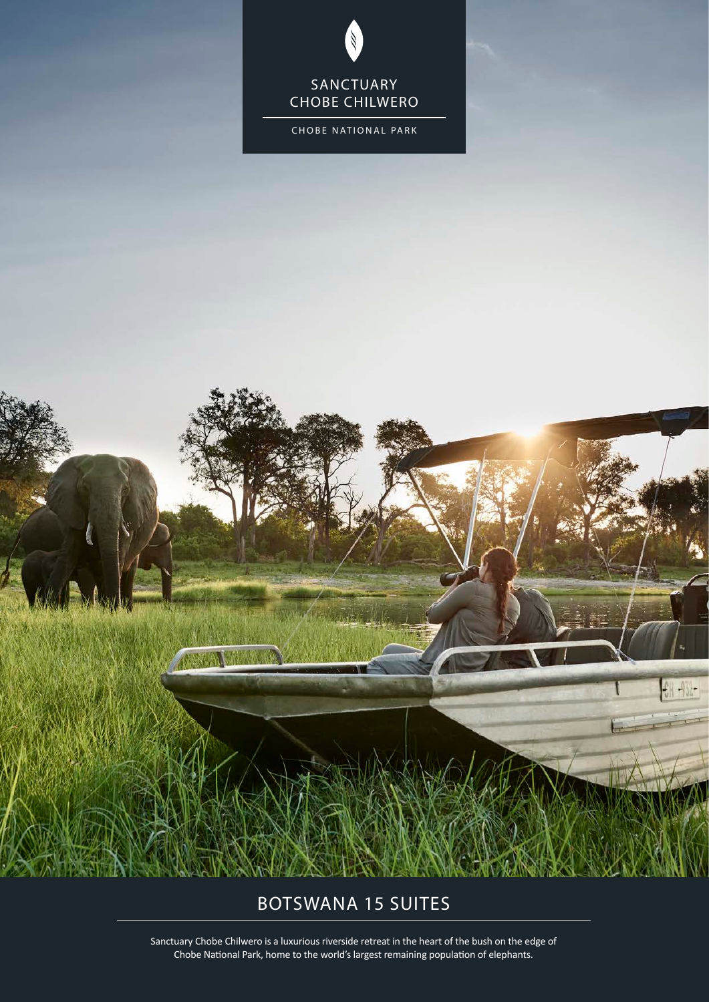### SANCTUARY CHOBE CHILWERO

CHOBE NATIONAL PARK

# BOTSWANA 15 SUITES

Sanctuary Chobe Chilwero is a luxurious riverside retreat in the heart of the bush on the edge of Chobe National Park, home to the world's largest remaining population of elephants.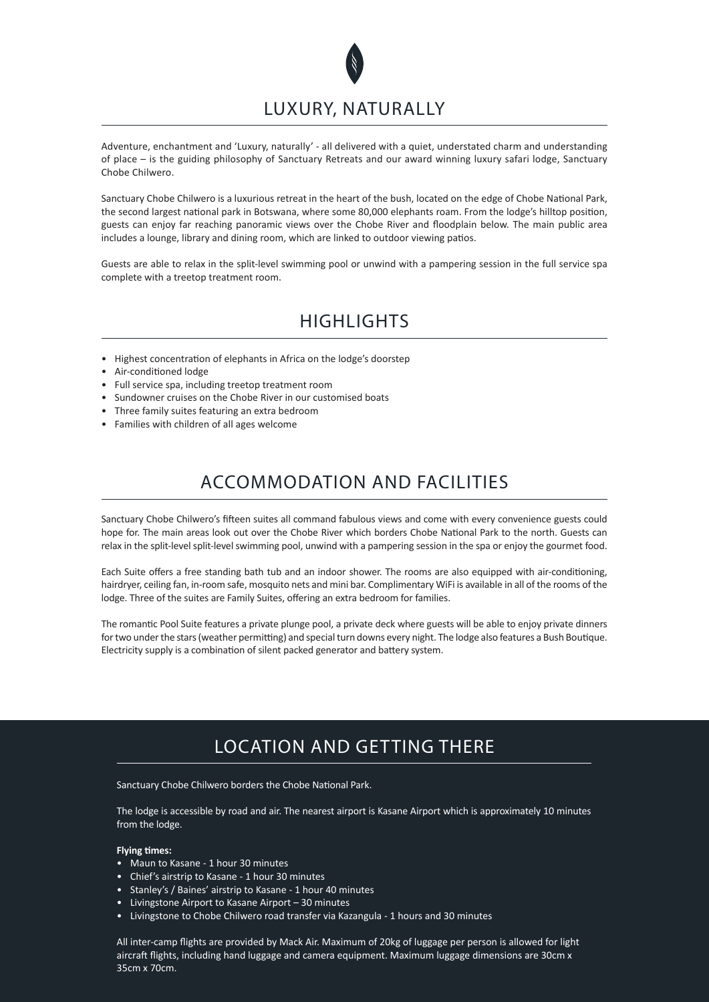

Adventure, enchantment and 'Luxury, naturally' - all delivered with a quiet, understated charm and understanding of place – is the guiding philosophy of Sanctuary Retreats and our award winning luxury safari lodge, Sanctuary Chobe Chilwero.

Sanctuary Chobe Chilwero is a luxurious retreat in the heart of the bush, located on the edge of Chobe National Park, the second largest national park in Botswana, where some 80,000 elephants roam. From the lodge's hilltop position, guests can enjoy far reaching panoramic views over the Chobe River and floodplain below. The main public area includes a lounge, library and dining room, which are linked to outdoor viewing patios.

Guests are able to relax in the split-level swimming pool or unwind with a pampering session in the full service spa complete with a treetop treatment room.

### **HIGHLIGHTS**

- Highest concentration of elephants in Africa on the lodge's doorstep
- Air-conditioned lodge
- Full service spa, including treetop treatment room
- Sundowner cruises on the Chobe River in our customised boats
- Three family suites featuring an extra bedroom
- Families with children of all ages welcome

# ACCOMMODATION AND FACILITIES

Sanctuary Chobe Chilwero's fifteen suites all command fabulous views and come with every convenience guests could hope for. The main areas look out over the Chobe River which borders Chobe National Park to the north. Guests can relax in the split-level split-level swimming pool, unwind with a pampering session in the spa or enjoy the gourmet food.

Each Suite offers a free standing bath tub and an indoor shower. The rooms are also equipped with air-conditioning, hairdryer, ceiling fan, in-room safe, mosquito nets and mini bar. Complimentary WiFi is available in all of the rooms of the lodge. Three of the suites are Family Suites, offering an extra bedroom for families.

The romantic Pool Suite features a private plunge pool, a private deck where guests will be able to enjoy private dinners for two under the stars (weather permitting) and special turn downs every night. The lodge also features a Bush Boutique. Electricity supply is a combination of silent packed generator and battery system.

# LOCATION AND GETTING THERE

Sanctuary Chobe Chilwero borders the Chobe National Park.

The lodge is accessible by road and air. The nearest airport is Kasane Airport which is approximately 10 minutes from the lodge.

### **Flying times:**

- Maun to Kasane 1 hour 30 minutes
- Chief's airstrip to Kasane 1 hour 30 minutes
- Stanley's / Baines' airstrip to Kasane 1 hour 40 minutes
- Livingstone Airport to Kasane Airport 30 minutes
- Livingstone to Chobe Chilwero road transfer via Kazangula 1 hours and 30 minutes

All inter-camp flights are provided by Mack Air. Maximum of 20kg of luggage per person is allowed for light aircraft flights, including hand luggage and camera equipment. Maximum luggage dimensions are 30cm x 35cm x 70cm.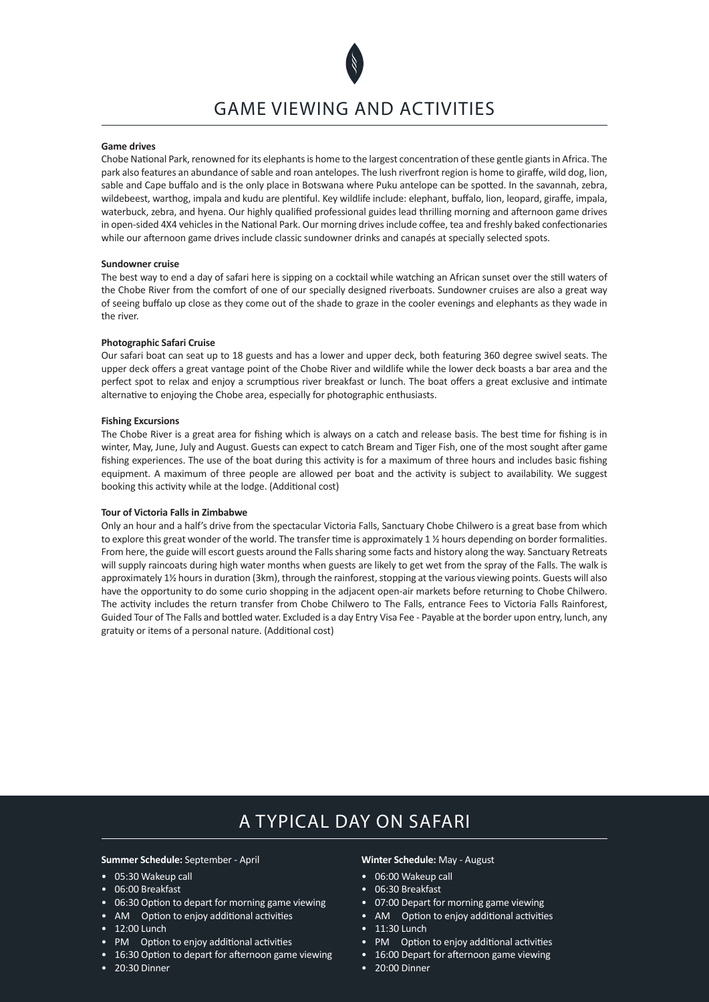

#### **Game drives**

Chobe National Park, renowned for its elephants is home to the largest concentration of these gentle giants in Africa. The park also features an abundance of sable and roan antelopes. The lush riverfront region is home to giraffe, wild dog, lion, sable and Cape buffalo and is the only place in Botswana where Puku antelope can be spotted. In the savannah, zebra, wildebeest, warthog, impala and kudu are plentiful. Key wildlife include: elephant, buffalo, lion, leopard, giraffe, impala, waterbuck, zebra, and hyena. Our highly qualified professional guides lead thrilling morning and afternoon game drives in open-sided 4X4 vehicles in the National Park. Our morning drives include coffee, tea and freshly baked confectionaries while our afternoon game drives include classic sundowner drinks and canapés at specially selected spots.

#### **Sundowner cruise**

The best way to end a day of safari here is sipping on a cocktail while watching an African sunset over the still waters of the Chobe River from the comfort of one of our specially designed riverboats. Sundowner cruises are also a great way of seeing buffalo up close as they come out of the shade to graze in the cooler evenings and elephants as they wade in the river.

### **Photographic Safari Cruise**

Our safari boat can seat up to 18 guests and has a lower and upper deck, both featuring 360 degree swivel seats. The upper deck offers a great vantage point of the Chobe River and wildlife while the lower deck boasts a bar area and the perfect spot to relax and enjoy a scrumptious river breakfast or lunch. The boat offers a great exclusive and intimate alternative to enjoying the Chobe area, especially for photographic enthusiasts.

### **Fishing Excursions**

The Chobe River is a great area for fishing which is always on a catch and release basis. The best time for fishing is in winter, May, June, July and August. Guests can expect to catch Bream and Tiger Fish, one of the most sought after game fishing experiences. The use of the boat during this activity is for a maximum of three hours and includes basic fishing equipment. A maximum of three people are allowed per boat and the activity is subject to availability. We suggest booking this activity while at the lodge. (Additional cost)

### **Tour of Victoria Falls in Zimbabwe**

Only an hour and a half's drive from the spectacular Victoria Falls, Sanctuary Chobe Chilwero is a great base from which to explore this great wonder of the world. The transfer time is approximately 1 % hours depending on border formalities. From here, the guide will escort guests around the Falls sharing some facts and history along the way. Sanctuary Retreats will supply raincoats during high water months when guests are likely to get wet from the spray of the Falls. The walk is approximately 1½ hours in duration (3km), through the rainforest, stopping at the various viewing points. Guests will also have the opportunity to do some curio shopping in the adjacent open-air markets before returning to Chobe Chilwero. The activity includes the return transfer from Chobe Chilwero to The Falls, entrance Fees to Victoria Falls Rainforest, Guided Tour of The Falls and bottled water. Excluded is a day Entry Visa Fee - Payable at the border upon entry, lunch, any gratuity or items of a personal nature. (Additional cost)

## A TYPICAL DAY ON SAFARI

#### **Summer Schedule:** September - April

- 05:30 Wakeup call
- 06:00 Breakfast
- 06:30 Option to depart for morning game viewing
- AM Option to enjoy additional activities
- 12:00 Lunch
- PM Option to enjoy additional activities
- 16:30 Option to depart for afternoon game viewing
- 20:30 Dinner

#### **Winter Schedule:** May - August

- 06:00 Wakeup call
- 06:30 Breakfast
- 07:00 Depart for morning game viewing
- AM Option to enjoy additional activities
- 11:30 Lunch
- PM Option to enjoy additional activities
- 16:00 Depart for afternoon game viewing
- 20:00 Dinner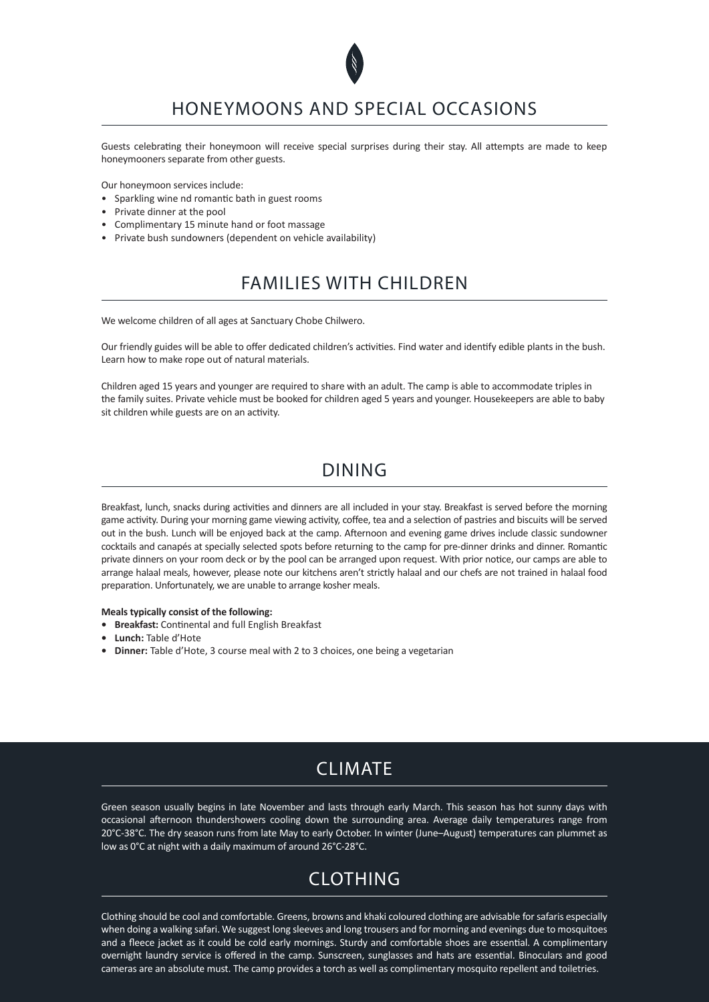

### HONEYMOONS AND SPECIAL OCCASIONS

Guests celebrating their honeymoon will receive special surprises during their stay. All attempts are made to keep honeymooners separate from other guests.

Our honeymoon services include:

- Sparkling wine nd romantic bath in guest rooms
- Private dinner at the pool
- Complimentary 15 minute hand or foot massage
- Private bush sundowners (dependent on vehicle availability)

### FAMILIES WITH CHILDREN

We welcome children of all ages at Sanctuary Chobe Chilwero.

Our friendly guides will be able to offer dedicated children's activities. Find water and identify edible plants in the bush. Learn how to make rope out of natural materials.

Children aged 15 years and younger are required to share with an adult. The camp is able to accommodate triples in the family suites. Private vehicle must be booked for children aged 5 years and younger. Housekeepers are able to baby sit children while guests are on an activity.

### DINING

Breakfast, lunch, snacks during activities and dinners are all included in your stay. Breakfast is served before the morning game activity. During your morning game viewing activity, coffee, tea and a selection of pastries and biscuits will be served out in the bush. Lunch will be enjoyed back at the camp. Afternoon and evening game drives include classic sundowner cocktails and canapés at specially selected spots before returning to the camp for pre-dinner drinks and dinner. Romantic private dinners on your room deck or by the pool can be arranged upon request. With prior notice, our camps are able to arrange halaal meals, however, please note our kitchens aren't strictly halaal and our chefs are not trained in halaal food preparation. Unfortunately, we are unable to arrange kosher meals.

#### **Meals typically consist of the following:**

- **• Breakfast:** Continental and full English Breakfast
- **• Lunch:** Table d'Hote
- **• Dinner:** Table d'Hote, 3 course meal with 2 to 3 choices, one being a vegetarian

## CLIMATE

Green season usually begins in late November and lasts through early March. This season has hot sunny days with occasional afternoon thundershowers cooling down the surrounding area. Average daily temperatures range from 20°C-38°C. The dry season runs from late May to early October. In winter (June–August) temperatures can plummet as low as 0°C at night with a daily maximum of around 26°C-28°C.

# CLOTHING

Clothing should be cool and comfortable. Greens, browns and khaki coloured clothing are advisable for safaris especially when doing a walking safari. We suggest long sleeves and long trousers and for morning and evenings due to mosquitoes and a fleece jacket as it could be cold early mornings. Sturdy and comfortable shoes are essential. A complimentary overnight laundry service is offered in the camp. Sunscreen, sunglasses and hats are essential. Binoculars and good cameras are an absolute must. The camp provides a torch as well as complimentary mosquito repellent and toiletries.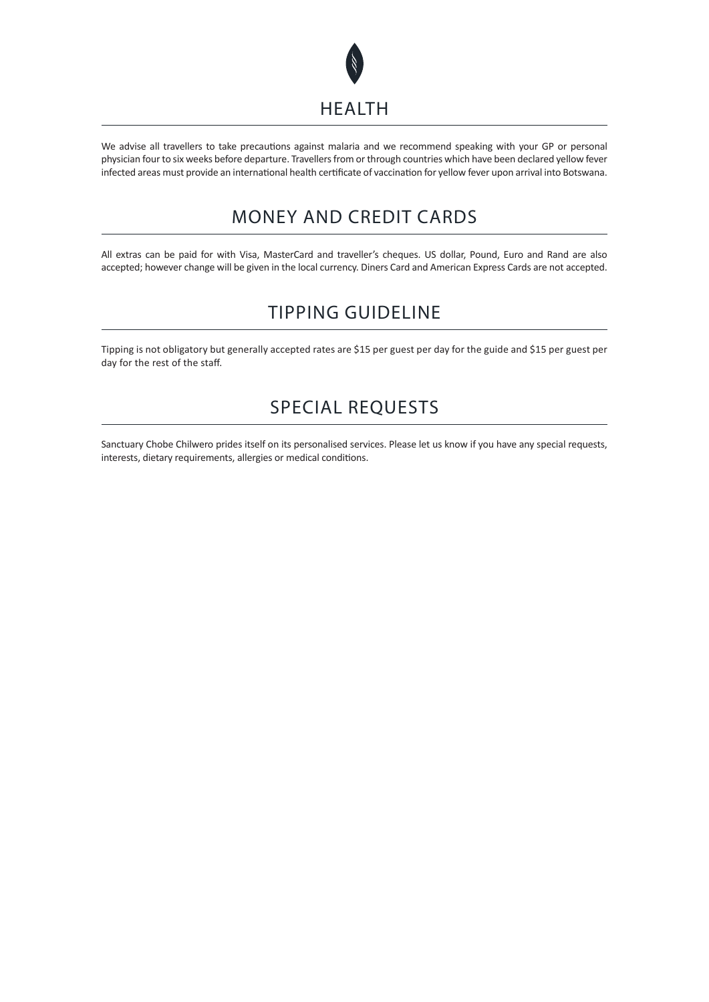

We advise all travellers to take precautions against malaria and we recommend speaking with your GP or personal physician four to six weeks before departure. Travellers from or through countries which have been declared yellow fever infected areas must provide an international health certificate of vaccination for yellow fever upon arrival into Botswana.

# MONEY AND CREDIT CARDS

All extras can be paid for with Visa, MasterCard and traveller's cheques. US dollar, Pound, Euro and Rand are also accepted; however change will be given in the local currency. Diners Card and American Express Cards are not accepted.

# TIPPING GUIDELINE

Tipping is not obligatory but generally accepted rates are \$15 per guest per day for the guide and \$15 per guest per day for the rest of the staff.

# SPECIAL REQUESTS

Sanctuary Chobe Chilwero prides itself on its personalised services. Please let us know if you have any special requests, interests, dietary requirements, allergies or medical conditions.